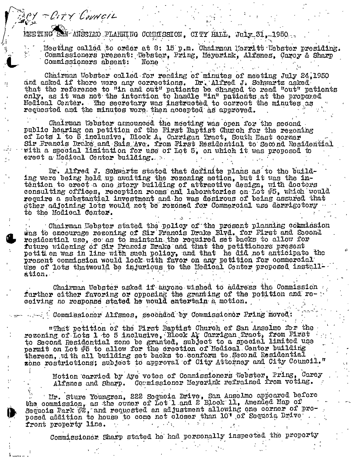**NEETING** M-ANSCIMO PLANNING COMMISSION. CITY HALL, JULY 31. 1950.

MY - CITY COUNCIL

Meeting called to order at 8: 15 p.m. Chairman Merritt Webster presiding. Commissioners present: Webster, Pring, Meyerink, Alfsnes, Carey & Sharp Commissioners absent: None

Chairman Wobster called for reading of minutes of meeting July 24,1950 and asked if there were any corrections. Dr. Alfred J. Schwartz asked that the reference to "in and out" patients be changed to read "out" patients only, as it was not the intention to handle "in" patients at the proposed Hedical Center. The secretary was instructed to correct the minutes as requested and the minutes were then accepted as approved.

Chairman Webster announced the meeting was open for the second public hearing on petition of the First Baptist Church for the rezoning of Lots 1 to 5 inclusive, Block A, Carrigan Tract, South East corner Sir Francis Drake and Sais Ave, from First Residential to Second Residential with a special limitation for use of Lot 5, on which it was proposed to erect a Medical Center building.

Dr. Alfred J. Schwartz stated that definite plans as to the building were being held up awaiting the rezoning action, but it was the intention to erect a one story building of attractive design, with doctors consulting offices, reception rooms and laboratories on Lot #5, which would require a substantial investment and he was desirous of being assured that other adjoining lots would not be rezoned for Commercial use derrigotory to the Modical Center.

Chairman Nebster stated the policy of the present planning commission<br>was to encourage reconing of Sir Francis Drake Blyd. for First and Second regidential use, so as to maintain the required set backs to allow for future widening of Sir Francis Drake and that the petitioners present petition was in line with such policy, and that he did not anticipate the present commission would look with favor on any petition for commercial use of lots thatwould be injurious to the Medical Center proposed installation.

Chairman Webster asked if anyone wished to address the Commission further either favoring or opposing the granting of the petition and receiving no response stated he would entertain a motion.

Commissioner Alfsnes, seconded by Commissioner Pring moved:

"That petition of the First Baptist Church of San Anselmo for the rezoning of Lots 1 to 5 inclusive, Block At Carrigan Tract, from First to Second Residential zone be granted, subject to a special limited use permit on Lot #5 to allow for the erection of Medical Center building thereon, with all building set backs to conform to Second Residential zone restrictions; subject to approval of City Attorney and City Council."

Motion carried by Aye votes of Commissioners Webster, Pring, Carey Alfsnes and Sharp. Commissioner Meyerink refrained from voting.

Mr. Sture Youngren, 222 Sequoia Drive, San Anselmo appeared before the commission, as the owner of Lot 1 and 2 Block 11, Amended Map of Sequois Park #2, and requested an adjustment allowing one corner of proposed addition to house to come not closer than 10' of Sequoia Drive front property line.

Commissioner Sharp stated he had personally inspected the property